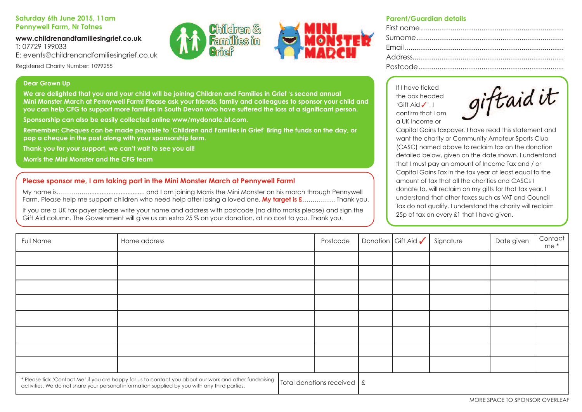## **Saturday 6th June 2015, 11am Pennywell Farm, Nr Totnes**

#### **www.childrenandfamiliesingrief.co.uk** T: 07729 199033

e: events@childrenandfamiliesingrief.co.uk

Registered Charity Number: 1099255

## **Dear Grown Up**

We are deliahted that you and your child will be joining Children and Families in Grief 's second annual Mini Monster March at Pennywell Farm! Please ask your friends, family and colleagues to sponsor your child and you can help CFG to support more families in South Devon who have suffered the loss of a significant person.

**Sponsorship can also be easily collected online www/mydonate.bt.com.**

Remember: Cheques can be made payable to 'Children and Families in Grief' Bring the funds on the day, or **pop a cheque in the post along with your sponsorship form.**

**Thank you for your support, we can't wait to see you all!**

**Morris the Mini Monster and the CFG team**

# **Please sponsor me, I am taking part in the Mini Monster March at Pennywell Farm!**

my name is……………................................. and I am joining morris the mini monster on his march through pennywell farm. please help me support children who need help after losing a loved one. **My target is £**……………. Thank you.

If you are a UK tax payer please write your name and address with postcode (no ditto marks please) and sign the Gift Aid column. The Government will give us an extra 25 % on your donation, at no cost to you. Thank you.

### **Parent/Guardian details**

If I have ticked the box headed 'Gift Aid  $\checkmark$ ', I confirm that I am a UK Income or

| giftaid it |  |  |
|------------|--|--|
|            |  |  |
|            |  |  |

Capital Gains taxpayer. I have read this statement and want the charity or Community Amateur Sports Club (CASC) named above to reclaim tax on the donation detailed below, given on the date shown. I understand that I must pay an amount of Income Tax and / or Capital Gains Tax in the tax year at least equal to the amount of tax that all the charities and CASCs I donate to, will reclaim on my gifts for that tax year. I understand that other taxes such as VAT and Council Tax do not qualify. I understand the charity will reclaim 25p of tax on every £1 that I have given.

| Full Name                                                                                                                                                                                               | Home address |                                         | Postcode | Donation Gift Aid $\checkmark$ | Signature | Date given | Contact<br>me * |
|---------------------------------------------------------------------------------------------------------------------------------------------------------------------------------------------------------|--------------|-----------------------------------------|----------|--------------------------------|-----------|------------|-----------------|
|                                                                                                                                                                                                         |              |                                         |          |                                |           |            |                 |
|                                                                                                                                                                                                         |              |                                         |          |                                |           |            |                 |
|                                                                                                                                                                                                         |              |                                         |          |                                |           |            |                 |
|                                                                                                                                                                                                         |              |                                         |          |                                |           |            |                 |
|                                                                                                                                                                                                         |              |                                         |          |                                |           |            |                 |
|                                                                                                                                                                                                         |              |                                         |          |                                |           |            |                 |
|                                                                                                                                                                                                         |              |                                         |          |                                |           |            |                 |
|                                                                                                                                                                                                         |              |                                         |          |                                |           |            |                 |
| * Please tick 'Contact Me' if you are happy for us to contact you about our work and other fundraising<br>activities. We do not share your personal information supplied by you with any third parties. |              | Total donations received $\int f(x) dx$ |          |                                |           |            |                 |